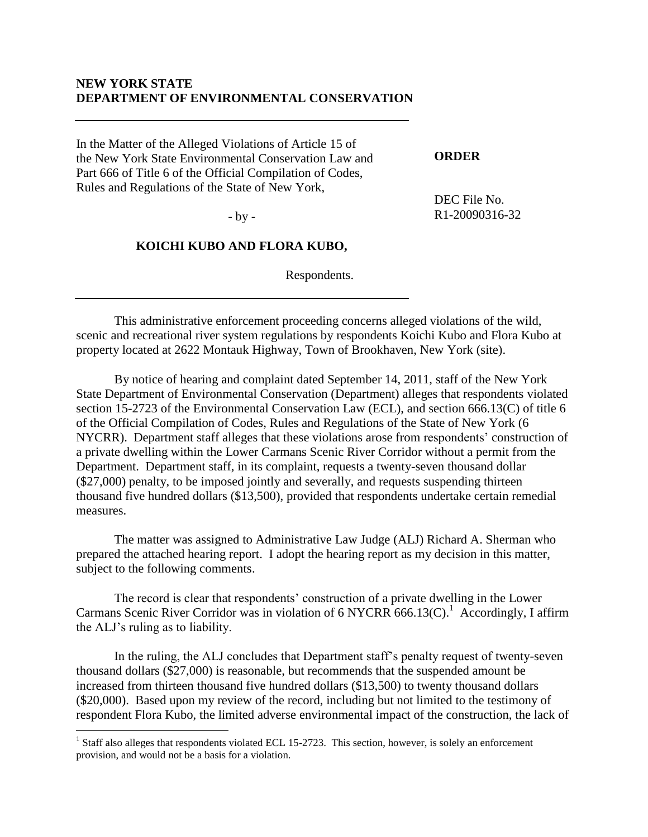## **NEW YORK STATE DEPARTMENT OF ENVIRONMENTAL CONSERVATION**

In the Matter of the Alleged Violations of Article 15 of the New York State Environmental Conservation Law and Part 666 of Title 6 of the Official Compilation of Codes, Rules and Regulations of the State of New York,

#### **ORDER**

DEC File No. R1-20090316-32

- by -

### **KOICHI KUBO AND FLORA KUBO,**

Respondents.

This administrative enforcement proceeding concerns alleged violations of the wild, scenic and recreational river system regulations by respondents Koichi Kubo and Flora Kubo at property located at 2622 Montauk Highway, Town of Brookhaven, New York (site).

By notice of hearing and complaint dated September 14, 2011, staff of the New York State Department of Environmental Conservation (Department) alleges that respondents violated section 15-2723 of the Environmental Conservation Law (ECL), and section 666.13(C) of title 6 of the Official Compilation of Codes, Rules and Regulations of the State of New York (6 NYCRR). Department staff alleges that these violations arose from respondents' construction of a private dwelling within the Lower Carmans Scenic River Corridor without a permit from the Department. Department staff, in its complaint, requests a twenty-seven thousand dollar (\$27,000) penalty, to be imposed jointly and severally, and requests suspending thirteen thousand five hundred dollars (\$13,500), provided that respondents undertake certain remedial measures.

The matter was assigned to Administrative Law Judge (ALJ) Richard A. Sherman who prepared the attached hearing report. I adopt the hearing report as my decision in this matter, subject to the following comments.

The record is clear that respondents' construction of a private dwelling in the Lower Carmans Scenic River Corridor was in violation of 6 NYCRR 666.13(C).<sup>1</sup> Accordingly, I affirm the ALJ's ruling as to liability.

In the ruling, the ALJ concludes that Department staff's penalty request of twenty-seven thousand dollars (\$27,000) is reasonable, but recommends that the suspended amount be increased from thirteen thousand five hundred dollars (\$13,500) to twenty thousand dollars (\$20,000). Based upon my review of the record, including but not limited to the testimony of respondent Flora Kubo, the limited adverse environmental impact of the construction, the lack of

<sup>&</sup>lt;sup>1</sup> Staff also alleges that respondents violated ECL 15-2723. This section, however, is solely an enforcement provision, and would not be a basis for a violation.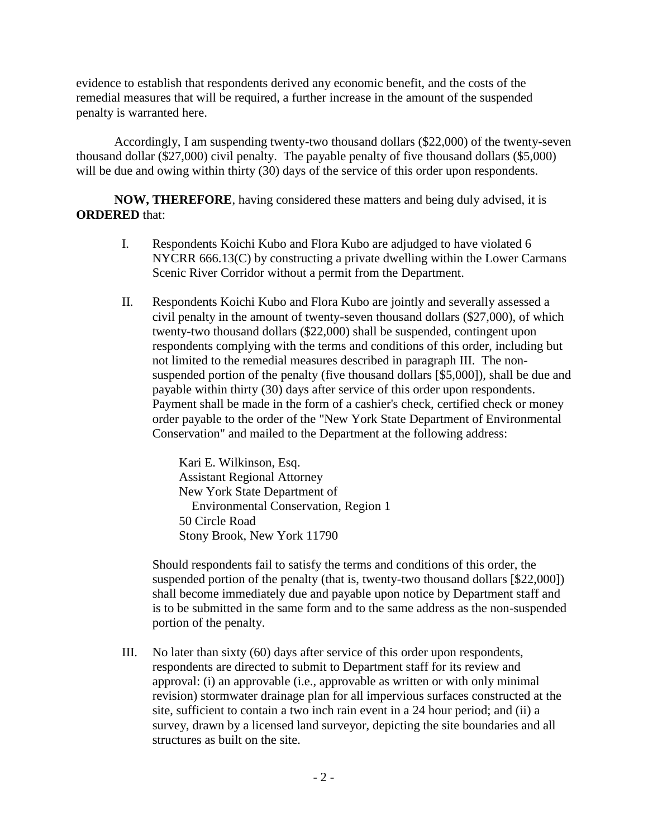evidence to establish that respondents derived any economic benefit, and the costs of the remedial measures that will be required, a further increase in the amount of the suspended penalty is warranted here.

Accordingly, I am suspending twenty-two thousand dollars (\$22,000) of the twenty-seven thousand dollar (\$27,000) civil penalty. The payable penalty of five thousand dollars (\$5,000) will be due and owing within thirty (30) days of the service of this order upon respondents.

**NOW, THEREFORE**, having considered these matters and being duly advised, it is **ORDERED** that:

- I. Respondents Koichi Kubo and Flora Kubo are adjudged to have violated 6 NYCRR 666.13(C) by constructing a private dwelling within the Lower Carmans Scenic River Corridor without a permit from the Department.
- II. Respondents Koichi Kubo and Flora Kubo are jointly and severally assessed a civil penalty in the amount of twenty-seven thousand dollars (\$27,000), of which twenty-two thousand dollars (\$22,000) shall be suspended, contingent upon respondents complying with the terms and conditions of this order, including but not limited to the remedial measures described in paragraph III. The nonsuspended portion of the penalty (five thousand dollars [\$5,000]), shall be due and payable within thirty (30) days after service of this order upon respondents. Payment shall be made in the form of a cashier's check, certified check or money order payable to the order of the "New York State Department of Environmental Conservation" and mailed to the Department at the following address:

Kari E. Wilkinson, Esq. Assistant Regional Attorney New York State Department of Environmental Conservation, Region 1 50 Circle Road Stony Brook, New York 11790

Should respondents fail to satisfy the terms and conditions of this order, the suspended portion of the penalty (that is, twenty-two thousand dollars [\$22,000]) shall become immediately due and payable upon notice by Department staff and is to be submitted in the same form and to the same address as the non-suspended portion of the penalty.

III. No later than sixty (60) days after service of this order upon respondents, respondents are directed to submit to Department staff for its review and approval: (i) an approvable (i.e., approvable as written or with only minimal revision) stormwater drainage plan for all impervious surfaces constructed at the site, sufficient to contain a two inch rain event in a 24 hour period; and (ii) a survey, drawn by a licensed land surveyor, depicting the site boundaries and all structures as built on the site.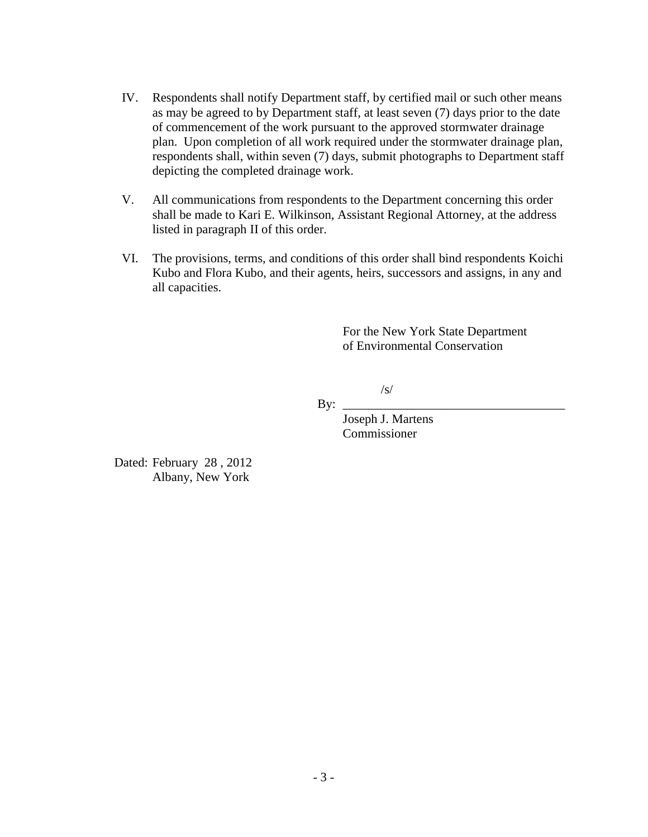- IV. Respondents shall notify Department staff, by certified mail or such other means as may be agreed to by Department staff, at least seven (7) days prior to the date of commencement of the work pursuant to the approved stormwater drainage plan. Upon completion of all work required under the stormwater drainage plan, respondents shall, within seven (7) days, submit photographs to Department staff depicting the completed drainage work.
- V. All communications from respondents to the Department concerning this order shall be made to Kari E. Wilkinson, Assistant Regional Attorney, at the address listed in paragraph II of this order.
- VI. The provisions, terms, and conditions of this order shall bind respondents Koichi Kubo and Flora Kubo, and their agents, heirs, successors and assigns, in any and all capacities.

For the New York State Department of Environmental Conservation

/s/

By: \_\_\_\_\_\_\_\_\_\_\_\_\_\_\_\_\_\_\_\_\_\_\_\_\_\_\_\_\_\_\_\_\_\_\_

Joseph J. Martens Commissioner

Dated: February 28 , 2012 Albany, New York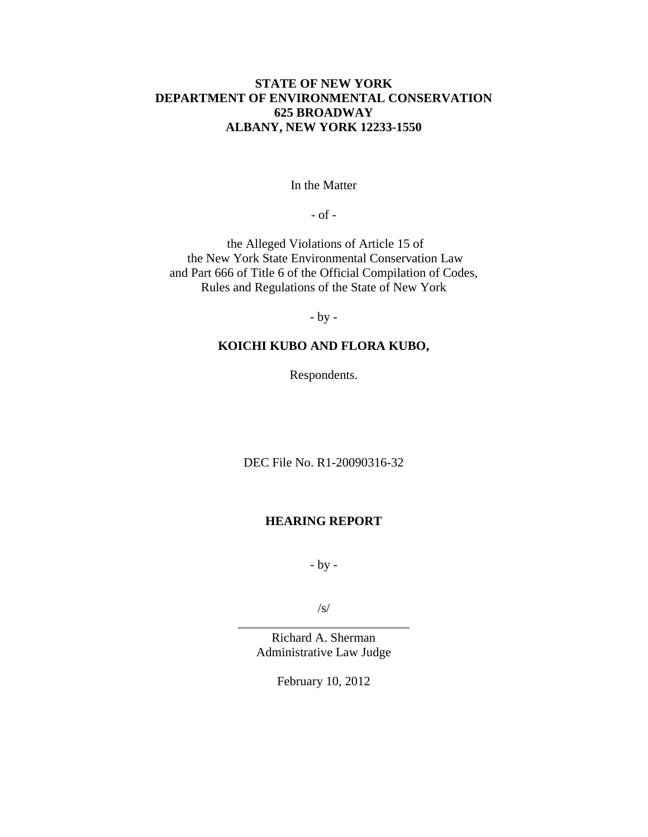## **STATE OF NEW YORK DEPARTMENT OF ENVIRONMENTAL CONSERVATION 625 BROADWAY ALBANY, NEW YORK 12233-1550**

In the Matter

- of -

the Alleged Violations of Article 15 of the New York State Environmental Conservation Law and Part 666 of Title 6 of the Official Compilation of Codes, Rules and Regulations of the State of New York

- by -

## **KOICHI KUBO AND FLORA KUBO,**

Respondents.

DEC File No. R1-20090316-32

### **HEARING REPORT**

- by -

/s/ \_\_\_\_\_\_\_\_\_\_\_\_\_\_\_\_\_\_\_\_\_\_\_\_\_\_\_

Richard A. Sherman Administrative Law Judge

February 10, 2012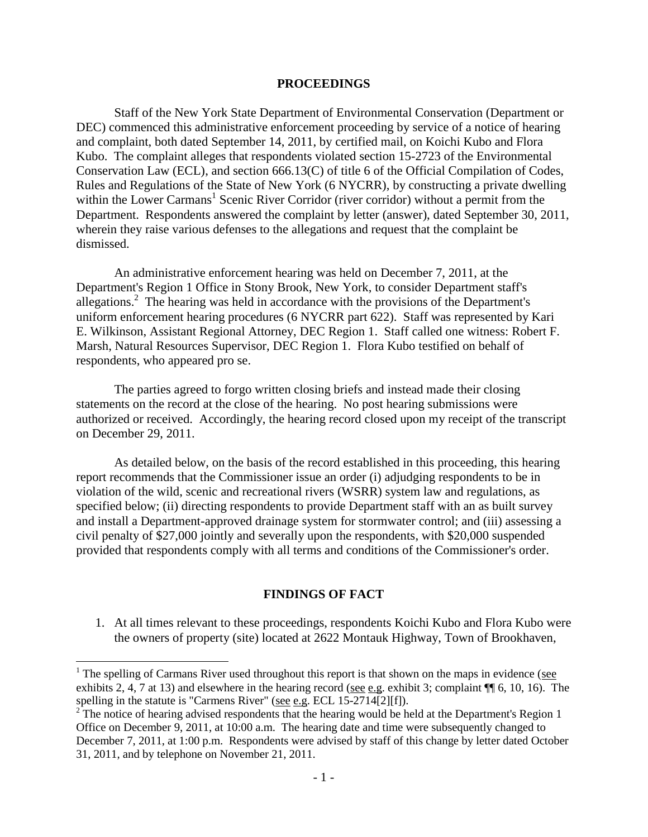#### **PROCEEDINGS**

Staff of the New York State Department of Environmental Conservation (Department or DEC) commenced this administrative enforcement proceeding by service of a notice of hearing and complaint, both dated September 14, 2011, by certified mail, on Koichi Kubo and Flora Kubo. The complaint alleges that respondents violated section 15-2723 of the Environmental Conservation Law (ECL), and section 666.13(C) of title 6 of the Official Compilation of Codes, Rules and Regulations of the State of New York (6 NYCRR), by constructing a private dwelling within the Lower Carmans<sup>1</sup> Scenic River Corridor (river corridor) without a permit from the Department. Respondents answered the complaint by letter (answer), dated September 30, 2011, wherein they raise various defenses to the allegations and request that the complaint be dismissed.

An administrative enforcement hearing was held on December 7, 2011, at the Department's Region 1 Office in Stony Brook, New York, to consider Department staff's allegations.<sup>2</sup> The hearing was held in accordance with the provisions of the Department's uniform enforcement hearing procedures (6 NYCRR part 622). Staff was represented by Kari E. Wilkinson, Assistant Regional Attorney, DEC Region 1. Staff called one witness: Robert F. Marsh, Natural Resources Supervisor, DEC Region 1. Flora Kubo testified on behalf of respondents, who appeared pro se.

The parties agreed to forgo written closing briefs and instead made their closing statements on the record at the close of the hearing. No post hearing submissions were authorized or received. Accordingly, the hearing record closed upon my receipt of the transcript on December 29, 2011.

As detailed below, on the basis of the record established in this proceeding, this hearing report recommends that the Commissioner issue an order (i) adjudging respondents to be in violation of the wild, scenic and recreational rivers (WSRR) system law and regulations, as specified below; (ii) directing respondents to provide Department staff with an as built survey and install a Department-approved drainage system for stormwater control; and (iii) assessing a civil penalty of \$27,000 jointly and severally upon the respondents, with \$20,000 suspended provided that respondents comply with all terms and conditions of the Commissioner's order.

#### **FINDINGS OF FACT**

1. At all times relevant to these proceedings, respondents Koichi Kubo and Flora Kubo were the owners of property (site) located at 2622 Montauk Highway, Town of Brookhaven,

 $1$ <sup>1</sup> The spelling of Carmans River used throughout this report is that shown on the maps in evidence (see exhibits 2, 4, 7 at 13) and elsewhere in the hearing record (see e.g. exhibit 3; complaint ¶¶ 6, 10, 16). The spelling in the statute is "Carmens River" (see e.g. ECL 15-2714[2][f]).

 $2^{2}$ The notice of hearing advised respondents that the hearing would be held at the Department's Region 1 Office on December 9, 2011, at 10:00 a.m. The hearing date and time were subsequently changed to December 7, 2011, at 1:00 p.m. Respondents were advised by staff of this change by letter dated October 31, 2011, and by telephone on November 21, 2011.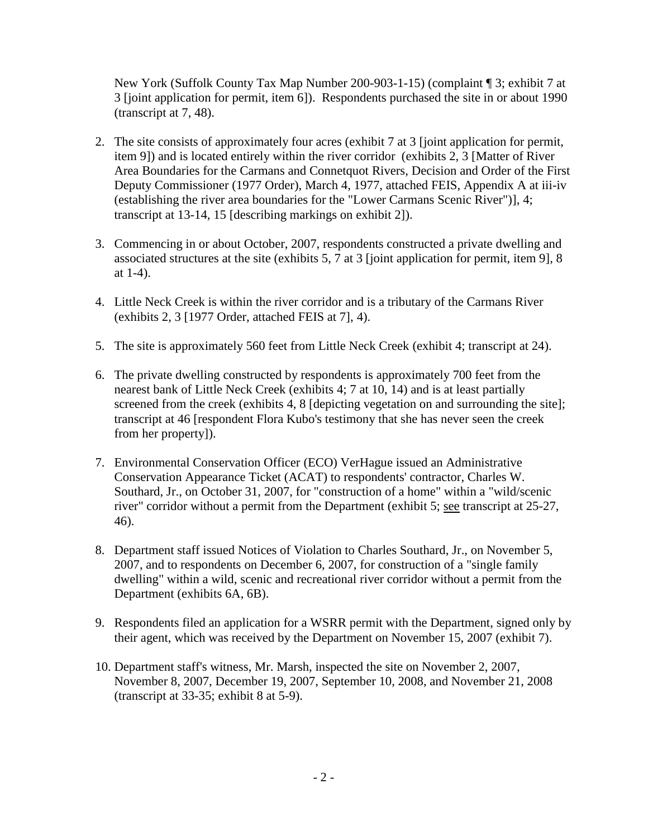New York (Suffolk County Tax Map Number 200-903-1-15) (complaint ¶ 3; exhibit 7 at 3 [joint application for permit, item 6]). Respondents purchased the site in or about 1990 (transcript at 7, 48).

- 2. The site consists of approximately four acres (exhibit 7 at 3 [joint application for permit, item 9]) and is located entirely within the river corridor (exhibits 2, 3 [Matter of River Area Boundaries for the Carmans and Connetquot Rivers, Decision and Order of the First Deputy Commissioner (1977 Order), March 4, 1977, attached FEIS, Appendix A at iii-iv (establishing the river area boundaries for the "Lower Carmans Scenic River")], 4; transcript at 13-14, 15 [describing markings on exhibit 2]).
- 3. Commencing in or about October, 2007, respondents constructed a private dwelling and associated structures at the site (exhibits 5, 7 at 3 [joint application for permit, item 9], 8 at 1-4).
- 4. Little Neck Creek is within the river corridor and is a tributary of the Carmans River (exhibits 2, 3 [1977 Order, attached FEIS at 7], 4).
- 5. The site is approximately 560 feet from Little Neck Creek (exhibit 4; transcript at 24).
- 6. The private dwelling constructed by respondents is approximately 700 feet from the nearest bank of Little Neck Creek (exhibits 4; 7 at 10, 14) and is at least partially screened from the creek (exhibits 4, 8 [depicting vegetation on and surrounding the site]; transcript at 46 [respondent Flora Kubo's testimony that she has never seen the creek from her property]).
- 7. Environmental Conservation Officer (ECO) VerHague issued an Administrative Conservation Appearance Ticket (ACAT) to respondents' contractor, Charles W. Southard, Jr., on October 31, 2007, for "construction of a home" within a "wild/scenic river" corridor without a permit from the Department (exhibit 5; see transcript at 25-27, 46).
- 8. Department staff issued Notices of Violation to Charles Southard, Jr., on November 5, 2007, and to respondents on December 6, 2007, for construction of a "single family dwelling" within a wild, scenic and recreational river corridor without a permit from the Department (exhibits 6A, 6B).
- 9. Respondents filed an application for a WSRR permit with the Department, signed only by their agent, which was received by the Department on November 15, 2007 (exhibit 7).
- 10. Department staff's witness, Mr. Marsh, inspected the site on November 2, 2007, November 8, 2007, December 19, 2007, September 10, 2008, and November 21, 2008 (transcript at 33-35; exhibit 8 at 5-9).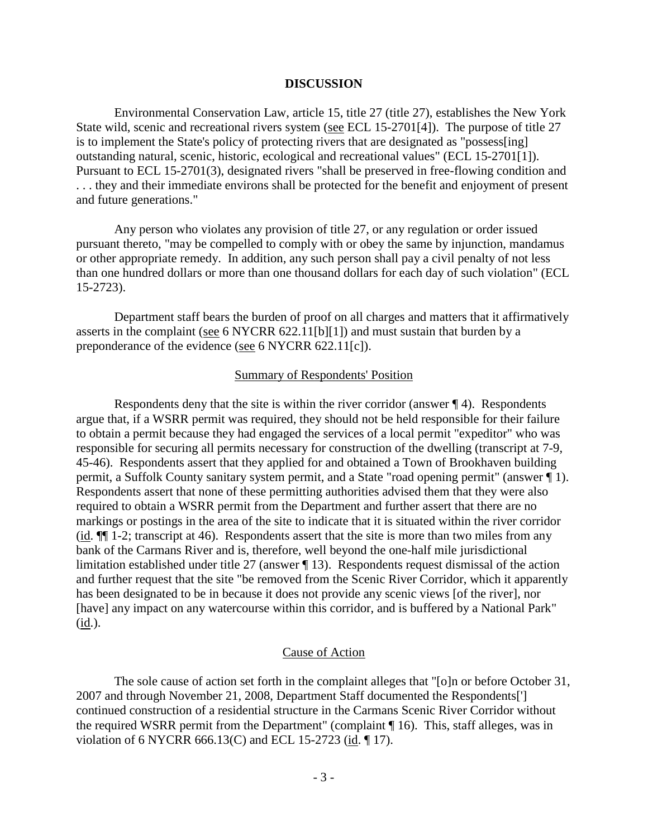### **DISCUSSION**

Environmental Conservation Law, article 15, title 27 (title 27), establishes the New York State wild, scenic and recreational rivers system (see ECL 15-2701[4]). The purpose of title 27 is to implement the State's policy of protecting rivers that are designated as "possess[ing] outstanding natural, scenic, historic, ecological and recreational values" (ECL 15-2701[1]). Pursuant to ECL 15-2701(3), designated rivers "shall be preserved in free-flowing condition and . . . they and their immediate environs shall be protected for the benefit and enjoyment of present and future generations."

Any person who violates any provision of title 27, or any regulation or order issued pursuant thereto, "may be compelled to comply with or obey the same by injunction, mandamus or other appropriate remedy. In addition, any such person shall pay a civil penalty of not less than one hundred dollars or more than one thousand dollars for each day of such violation" (ECL 15-2723).

Department staff bears the burden of proof on all charges and matters that it affirmatively asserts in the complaint (see 6 NYCRR 622.11[b][1]) and must sustain that burden by a preponderance of the evidence (see 6 NYCRR 622.11[c]).

#### Summary of Respondents' Position

Respondents deny that the site is within the river corridor (answer ¶ 4). Respondents argue that, if a WSRR permit was required, they should not be held responsible for their failure to obtain a permit because they had engaged the services of a local permit "expeditor" who was responsible for securing all permits necessary for construction of the dwelling (transcript at 7-9, 45-46). Respondents assert that they applied for and obtained a Town of Brookhaven building permit, a Suffolk County sanitary system permit, and a State "road opening permit" (answer ¶ 1). Respondents assert that none of these permitting authorities advised them that they were also required to obtain a WSRR permit from the Department and further assert that there are no markings or postings in the area of the site to indicate that it is situated within the river corridor (id. ¶¶ 1-2; transcript at 46). Respondents assert that the site is more than two miles from any bank of the Carmans River and is, therefore, well beyond the one-half mile jurisdictional limitation established under title 27 (answer ¶ 13). Respondents request dismissal of the action and further request that the site "be removed from the Scenic River Corridor, which it apparently has been designated to be in because it does not provide any scenic views [of the river], nor [have] any impact on any watercourse within this corridor, and is buffered by a National Park" (id.).

#### Cause of Action

The sole cause of action set forth in the complaint alleges that "[o]n or before October 31, 2007 and through November 21, 2008, Department Staff documented the Respondents['] continued construction of a residential structure in the Carmans Scenic River Corridor without the required WSRR permit from the Department" (complaint ¶ 16). This, staff alleges, was in violation of 6 NYCRR 666.13(C) and ECL 15-2723 (id. ¶ 17).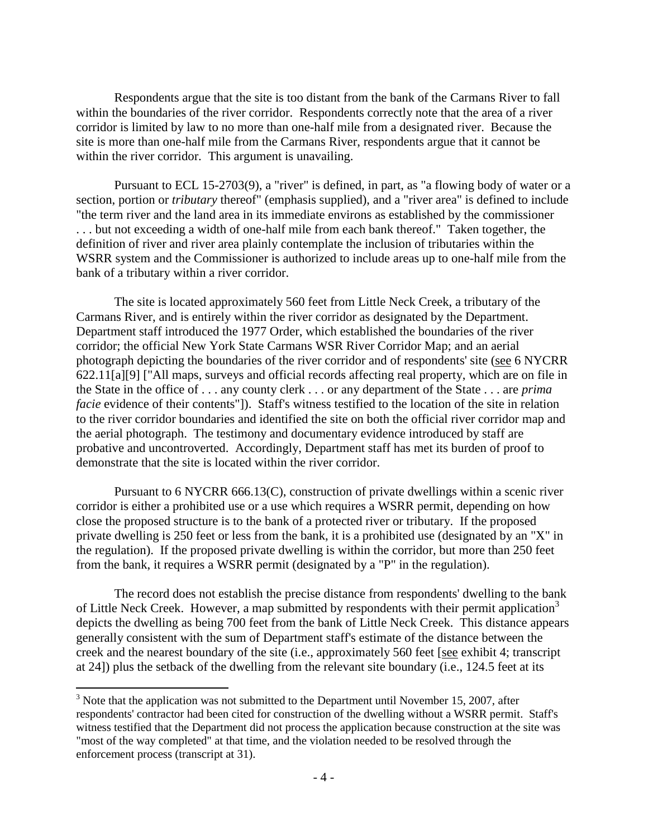Respondents argue that the site is too distant from the bank of the Carmans River to fall within the boundaries of the river corridor. Respondents correctly note that the area of a river corridor is limited by law to no more than one-half mile from a designated river. Because the site is more than one-half mile from the Carmans River, respondents argue that it cannot be within the river corridor. This argument is unavailing.

Pursuant to ECL 15-2703(9), a "river" is defined, in part, as "a flowing body of water or a section, portion or *tributary* thereof" (emphasis supplied), and a "river area" is defined to include "the term river and the land area in its immediate environs as established by the commissioner . . . but not exceeding a width of one-half mile from each bank thereof." Taken together, the definition of river and river area plainly contemplate the inclusion of tributaries within the WSRR system and the Commissioner is authorized to include areas up to one-half mile from the bank of a tributary within a river corridor.

The site is located approximately 560 feet from Little Neck Creek, a tributary of the Carmans River, and is entirely within the river corridor as designated by the Department. Department staff introduced the 1977 Order, which established the boundaries of the river corridor; the official New York State Carmans WSR River Corridor Map; and an aerial photograph depicting the boundaries of the river corridor and of respondents' site (see 6 NYCRR 622.11[a][9] ["All maps, surveys and official records affecting real property, which are on file in the State in the office of . . . any county clerk . . . or any department of the State . . . are *prima facie* evidence of their contents"]). Staff's witness testified to the location of the site in relation to the river corridor boundaries and identified the site on both the official river corridor map and the aerial photograph. The testimony and documentary evidence introduced by staff are probative and uncontroverted. Accordingly, Department staff has met its burden of proof to demonstrate that the site is located within the river corridor.

Pursuant to 6 NYCRR 666.13(C), construction of private dwellings within a scenic river corridor is either a prohibited use or a use which requires a WSRR permit, depending on how close the proposed structure is to the bank of a protected river or tributary. If the proposed private dwelling is 250 feet or less from the bank, it is a prohibited use (designated by an "X" in the regulation). If the proposed private dwelling is within the corridor, but more than 250 feet from the bank, it requires a WSRR permit (designated by a "P" in the regulation).

The record does not establish the precise distance from respondents' dwelling to the bank of Little Neck Creek. However, a map submitted by respondents with their permit application<sup>3</sup> depicts the dwelling as being 700 feet from the bank of Little Neck Creek. This distance appears generally consistent with the sum of Department staff's estimate of the distance between the creek and the nearest boundary of the site (i.e., approximately 560 feet [see exhibit 4; transcript at 24]) plus the setback of the dwelling from the relevant site boundary (i.e., 124.5 feet at its

<sup>&</sup>lt;sup>3</sup> Note that the application was not submitted to the Department until November 15, 2007, after respondents' contractor had been cited for construction of the dwelling without a WSRR permit. Staff's witness testified that the Department did not process the application because construction at the site was "most of the way completed" at that time, and the violation needed to be resolved through the enforcement process (transcript at 31).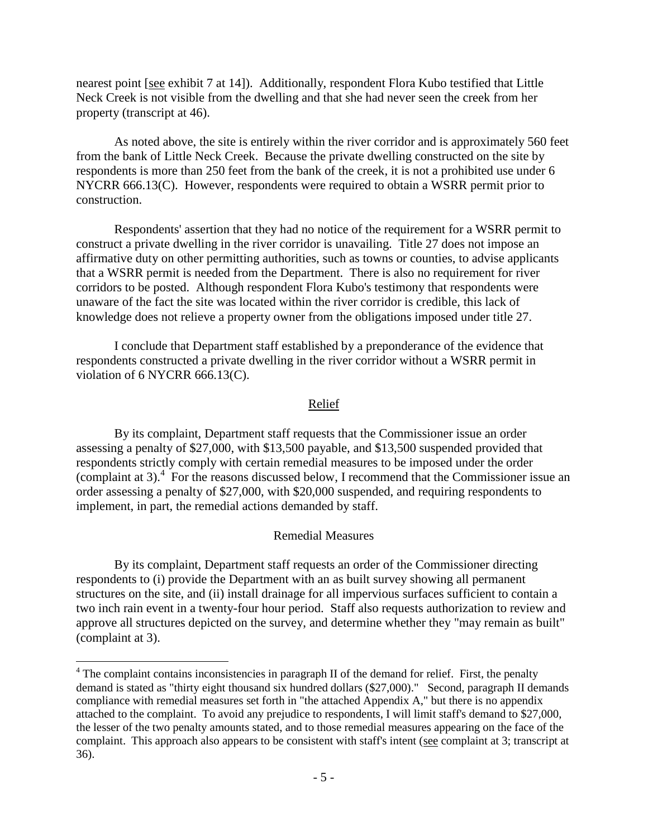nearest point [see exhibit 7 at 14]). Additionally, respondent Flora Kubo testified that Little Neck Creek is not visible from the dwelling and that she had never seen the creek from her property (transcript at 46).

As noted above, the site is entirely within the river corridor and is approximately 560 feet from the bank of Little Neck Creek. Because the private dwelling constructed on the site by respondents is more than 250 feet from the bank of the creek, it is not a prohibited use under 6 NYCRR 666.13(C). However, respondents were required to obtain a WSRR permit prior to construction.

Respondents' assertion that they had no notice of the requirement for a WSRR permit to construct a private dwelling in the river corridor is unavailing. Title 27 does not impose an affirmative duty on other permitting authorities, such as towns or counties, to advise applicants that a WSRR permit is needed from the Department. There is also no requirement for river corridors to be posted. Although respondent Flora Kubo's testimony that respondents were unaware of the fact the site was located within the river corridor is credible, this lack of knowledge does not relieve a property owner from the obligations imposed under title 27.

I conclude that Department staff established by a preponderance of the evidence that respondents constructed a private dwelling in the river corridor without a WSRR permit in violation of 6 NYCRR 666.13(C).

### Relief

By its complaint, Department staff requests that the Commissioner issue an order assessing a penalty of \$27,000, with \$13,500 payable, and \$13,500 suspended provided that respondents strictly comply with certain remedial measures to be imposed under the order (complaint at 3). 4 For the reasons discussed below, I recommend that the Commissioner issue an order assessing a penalty of \$27,000, with \$20,000 suspended, and requiring respondents to implement, in part, the remedial actions demanded by staff.

#### Remedial Measures

By its complaint, Department staff requests an order of the Commissioner directing respondents to (i) provide the Department with an as built survey showing all permanent structures on the site, and (ii) install drainage for all impervious surfaces sufficient to contain a two inch rain event in a twenty-four hour period. Staff also requests authorization to review and approve all structures depicted on the survey, and determine whether they "may remain as built" (complaint at 3).

 $4$  The complaint contains inconsistencies in paragraph II of the demand for relief. First, the penalty demand is stated as "thirty eight thousand six hundred dollars (\$27,000)." Second, paragraph II demands compliance with remedial measures set forth in "the attached Appendix A," but there is no appendix attached to the complaint. To avoid any prejudice to respondents, I will limit staff's demand to \$27,000, the lesser of the two penalty amounts stated, and to those remedial measures appearing on the face of the complaint. This approach also appears to be consistent with staff's intent (see complaint at 3; transcript at 36).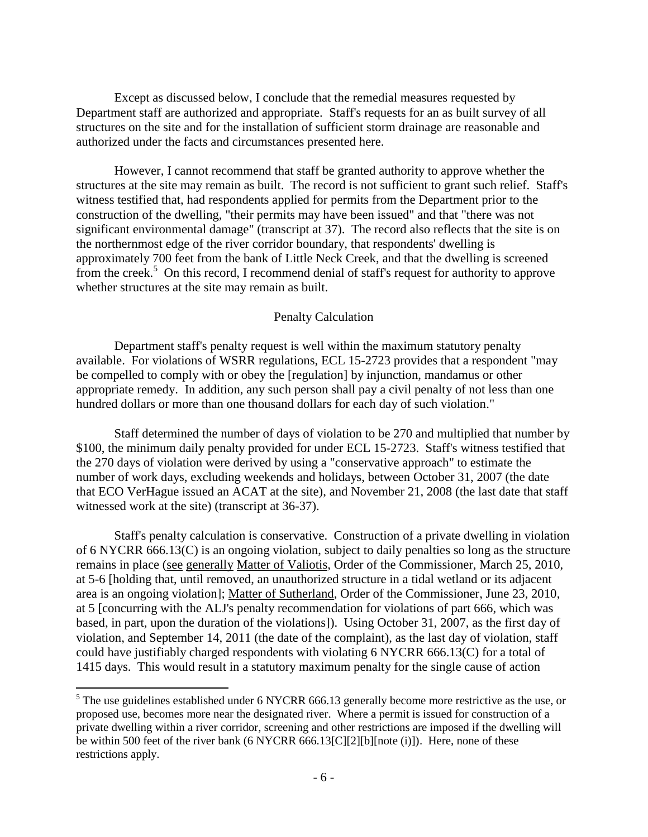Except as discussed below, I conclude that the remedial measures requested by Department staff are authorized and appropriate. Staff's requests for an as built survey of all structures on the site and for the installation of sufficient storm drainage are reasonable and authorized under the facts and circumstances presented here.

However, I cannot recommend that staff be granted authority to approve whether the structures at the site may remain as built. The record is not sufficient to grant such relief. Staff's witness testified that, had respondents applied for permits from the Department prior to the construction of the dwelling, "their permits may have been issued" and that "there was not significant environmental damage" (transcript at 37). The record also reflects that the site is on the northernmost edge of the river corridor boundary, that respondents' dwelling is approximately 700 feet from the bank of Little Neck Creek, and that the dwelling is screened from the creek.<sup>5</sup> On this record, I recommend denial of staff's request for authority to approve whether structures at the site may remain as built.

### Penalty Calculation

Department staff's penalty request is well within the maximum statutory penalty available. For violations of WSRR regulations, ECL 15-2723 provides that a respondent "may be compelled to comply with or obey the [regulation] by injunction, mandamus or other appropriate remedy. In addition, any such person shall pay a civil penalty of not less than one hundred dollars or more than one thousand dollars for each day of such violation."

Staff determined the number of days of violation to be 270 and multiplied that number by \$100, the minimum daily penalty provided for under ECL 15-2723. Staff's witness testified that the 270 days of violation were derived by using a "conservative approach" to estimate the number of work days, excluding weekends and holidays, between October 31, 2007 (the date that ECO VerHague issued an ACAT at the site), and November 21, 2008 (the last date that staff witnessed work at the site) (transcript at 36-37).

Staff's penalty calculation is conservative. Construction of a private dwelling in violation of 6 NYCRR 666.13(C) is an ongoing violation, subject to daily penalties so long as the structure remains in place (see generally Matter of Valiotis, Order of the Commissioner, March 25, 2010, at 5-6 [holding that, until removed, an unauthorized structure in a tidal wetland or its adjacent area is an ongoing violation]; Matter of Sutherland, Order of the Commissioner, June 23, 2010, at 5 [concurring with the ALJ's penalty recommendation for violations of part 666, which was based, in part, upon the duration of the violations]). Using October 31, 2007, as the first day of violation, and September 14, 2011 (the date of the complaint), as the last day of violation, staff could have justifiably charged respondents with violating 6 NYCRR 666.13(C) for a total of 1415 days. This would result in a statutory maximum penalty for the single cause of action

<sup>5</sup> The use guidelines established under 6 NYCRR 666.13 generally become more restrictive as the use, or proposed use, becomes more near the designated river. Where a permit is issued for construction of a private dwelling within a river corridor, screening and other restrictions are imposed if the dwelling will be within 500 feet of the river bank (6 NYCRR 666.13[C][2][b][note (i)]). Here, none of these restrictions apply.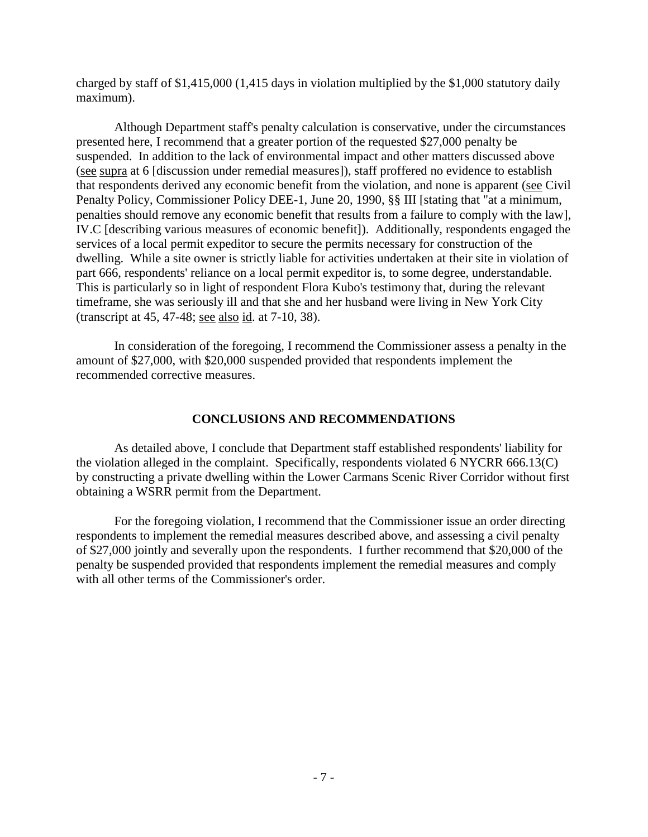charged by staff of \$1,415,000 (1,415 days in violation multiplied by the \$1,000 statutory daily maximum).

Although Department staff's penalty calculation is conservative, under the circumstances presented here, I recommend that a greater portion of the requested \$27,000 penalty be suspended. In addition to the lack of environmental impact and other matters discussed above (see supra at 6 [discussion under remedial measures]), staff proffered no evidence to establish that respondents derived any economic benefit from the violation, and none is apparent (see Civil Penalty Policy, Commissioner Policy DEE-1, June 20, 1990, §§ III [stating that "at a minimum, penalties should remove any economic benefit that results from a failure to comply with the law], IV.C [describing various measures of economic benefit]). Additionally, respondents engaged the services of a local permit expeditor to secure the permits necessary for construction of the dwelling. While a site owner is strictly liable for activities undertaken at their site in violation of part 666, respondents' reliance on a local permit expeditor is, to some degree, understandable. This is particularly so in light of respondent Flora Kubo's testimony that, during the relevant timeframe, she was seriously ill and that she and her husband were living in New York City (transcript at 45, 47-48; see also id. at 7-10, 38).

In consideration of the foregoing, I recommend the Commissioner assess a penalty in the amount of \$27,000, with \$20,000 suspended provided that respondents implement the recommended corrective measures.

## **CONCLUSIONS AND RECOMMENDATIONS**

As detailed above, I conclude that Department staff established respondents' liability for the violation alleged in the complaint. Specifically, respondents violated 6 NYCRR 666.13(C) by constructing a private dwelling within the Lower Carmans Scenic River Corridor without first obtaining a WSRR permit from the Department.

For the foregoing violation, I recommend that the Commissioner issue an order directing respondents to implement the remedial measures described above, and assessing a civil penalty of \$27,000 jointly and severally upon the respondents. I further recommend that \$20,000 of the penalty be suspended provided that respondents implement the remedial measures and comply with all other terms of the Commissioner's order.